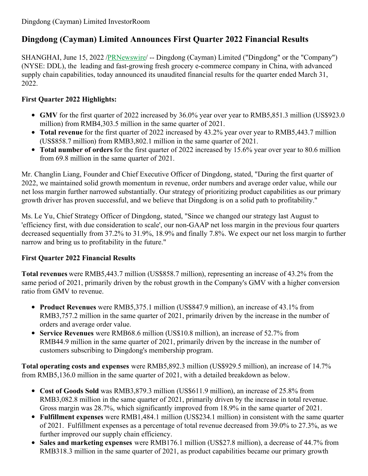# **Dingdong (Cayman) Limited Announces First Quarter 2022 Financial Results**

SHANGHAI, June 15, 2022 [/PRNewswire](http://www.prnewswire.com/)/ -- Dingdong (Cayman) Limited ("Dingdong" or the "Company") (NYSE: DDL), the leading and fast-growing fresh grocery e-commerce company in China, with advanced supply chain capabilities, today announced its unaudited financial results for the quarter ended March 31, 2022.

# **First Quarter 2022 Highlights:**

- **GMV** for the first quarter of 2022 increased by 36.0% year over year to RMB5,851.3 million (US\$923.0 million) from RMB4,303.5 million in the same quarter of 2021.
- **Total revenue** for the first quarter of 2022 increased by 43.2% year over year to RMB5,443.7 million (US\$858.7 million) from RMB3,802.1 million in the same quarter of 2021.
- **Total number of orders**for the first quarter of 2022 increased by 15.6% year over year to 80.6 million from 69.8 million in the same quarter of 2021.

Mr. Changlin Liang, Founder and Chief Executive Officer of Dingdong, stated, "During the first quarter of 2022, we maintained solid growth momentum in revenue, order numbers and average order value, while our net loss margin further narrowed substantially. Our strategy of prioritizing product capabilities as our primary growth driver has proven successful, and we believe that Dingdong is on a solid path to profitability."

Ms. Le Yu, Chief Strategy Officer of Dingdong, stated, "Since we changed our strategy last August to 'efficiency first, with due consideration to scale', our non-GAAP net loss margin in the previous four quarters decreased sequentially from 37.2% to 31.9%, 18.9% and finally 7.8%. We expect our net loss margin to further narrow and bring us to profitability in the future."

# **First Quarter 2022 Financial Results**

**Total revenues** were RMB5,443.7 million (US\$858.7 million), representing an increase of 43.2% from the same period of 2021, primarily driven by the robust growth in the Company's GMV with a higher conversion ratio from GMV to revenue.

- **Product Revenues** were RMB5,375.1 million (US\$847.9 million), an increase of 43.1% from RMB3,757.2 million in the same quarter of 2021, primarily driven by the increase in the number of orders and average order value.
- **Service Revenues** were RMB68.6 million (US\$10.8 million), an increase of 52.7% from RMB44.9 million in the same quarter of 2021, primarily driven by the increase in the number of customers subscribing to Dingdong's membership program.

**Total operating costs and expenses** were RMB5,892.3 million (US\$929.5 million), an increase of 14.7% from RMB5,136.0 million in the same quarter of 2021, with a detailed breakdown as below.

- **Cost of Goods Sold** was RMB3,879.3 million (US\$611.9 million), an increase of 25.8% from RMB3,082.8 million in the same quarter of 2021, primarily driven by the increase in total revenue. Gross margin was 28.7%, which significantly improved from 18.9% in the same quarter of 2021.
- **Fulfillment expenses** were RMB1,484.1 million (US\$234.1 million) in consistent with the same quarter of 2021. Fulfillment expenses as a percentage of total revenue decreased from 39.0% to 27.3%, as we further improved our supply chain efficiency.
- **Sales and marketing expenses** were RMB176.1 million (US\$27.8 million), a decrease of 44.7% from RMB318.3 million in the same quarter of 2021, as product capabilities became our primary growth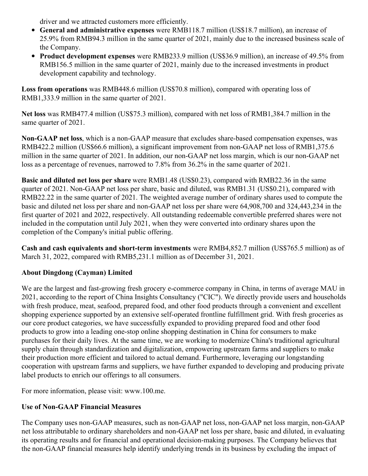driver and we attracted customers more efficiently.

- **General and administrative expenses** were RMB118.7 million (US\$18.7 million), an increase of 25.9% from RMB94.3 million in the same quarter of 2021, mainly due to the increased business scale of the Company.
- **Product development expenses** were RMB233.9 million (US\$36.9 million), an increase of 49.5% from RMB156.5 million in the same quarter of 2021, mainly due to the increased investments in product development capability and technology.

**Loss from operations** was RMB448.6 million (US\$70.8 million), compared with operating loss of RMB1,333.9 million in the same quarter of 2021.

**Net loss** was RMB477.4 million (US\$75.3 million), compared with net loss of RMB1,384.7 million in the same quarter of 2021.

**Non-GAAP net loss**, which is a non-GAAP measure that excludes share-based compensation expenses, was RMB422.2 million (US\$66.6 million), a significant improvement from non-GAAP net loss of RMB1,375.6 million in the same quarter of 2021. In addition, our non-GAAP net loss margin, which is our non-GAAP net loss as a percentage of revenues, narrowed to 7.8% from 36.2% in the same quarter of 2021.

**Basic and diluted net loss per share** were RMB1.48 (US\$0.23), compared with RMB22.36 in the same quarter of 2021. Non-GAAP net loss per share, basic and diluted, was RMB1.31 (US\$0.21), compared with RMB22.22 in the same quarter of 2021. The weighted average number of ordinary shares used to compute the basic and diluted net loss per share and non-GAAP net loss per share were 64,908,700 and 324,443,234 in the first quarter of 2021 and 2022, respectively. All outstanding redeemable convertible preferred shares were not included in the computation until July 2021, when they were converted into ordinary shares upon the completion of the Company's initial public offering.

**Cash and cash equivalents and short-term investments** were RMB4,852.7 million (US\$765.5 million) as of March 31, 2022, compared with RMB5,231.1 million as of December 31, 2021.

# **About Dingdong (Cayman) Limited**

We are the largest and fast-growing fresh grocery e-commerce company in China, in terms of average MAU in 2021, according to the report of China Insights Consultancy ("CIC"). We directly provide users and households with fresh produce, meat, seafood, prepared food, and other food products through a convenient and excellent shopping experience supported by an extensive self-operated frontline fulfillment grid. With fresh groceries as our core product categories, we have successfully expanded to providing prepared food and other food products to grow into a leading one-stop online shopping destination in China for consumers to make purchases for their daily lives. At the same time, we are working to modernize China's traditional agricultural supply chain through standardization and digitalization, empowering upstream farms and suppliers to make their production more efficient and tailored to actual demand. Furthermore, leveraging our longstanding cooperation with upstream farms and suppliers, we have further expanded to developing and producing private label products to enrich our offerings to all consumers.

For more information, please visit: www.100.me.

# **Use of Non-GAAP Financial Measures**

The Company uses non-GAAP measures, such as non-GAAP net loss, non-GAAP net loss margin, non-GAAP net loss attributable to ordinary shareholders and non-GAAP net loss per share, basic and diluted, in evaluating its operating results and for financial and operational decision-making purposes. The Company believes that the non-GAAP financial measures help identify underlying trends in its business by excluding the impact of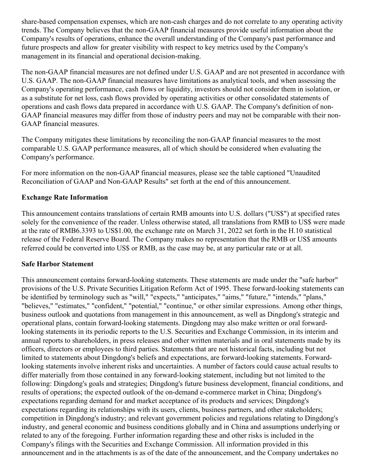share-based compensation expenses, which are non-cash charges and do not correlate to any operating activity trends. The Company believes that the non-GAAP financial measures provide useful information about the Company's results of operations, enhance the overall understanding of the Company's past performance and future prospects and allow for greater visibility with respect to key metrics used by the Company's management in its financial and operational decision-making.

The non-GAAP financial measures are not defined under U.S. GAAP and are not presented in accordance with U.S. GAAP. The non-GAAP financial measures have limitations as analytical tools, and when assessing the Company's operating performance, cash flows or liquidity, investors should not consider them in isolation, or as a substitute for net loss, cash flows provided by operating activities or other consolidated statements of operations and cash flows data prepared in accordance with U.S. GAAP. The Company's definition of non-GAAP financial measures may differ from those of industry peers and may not be comparable with their non-GAAP financial measures.

The Company mitigates these limitations by reconciling the non-GAAP financial measures to the most comparable U.S. GAAP performance measures, all of which should be considered when evaluating the Company's performance.

For more information on the non-GAAP financial measures, please see the table captioned "Unaudited Reconciliation of GAAP and Non-GAAP Results" set forth at the end of this announcement.

#### **Exchange Rate Information**

This announcement contains translations of certain RMB amounts into U.S. dollars ("US\$") at specified rates solely for the convenience of the reader. Unless otherwise stated, all translations from RMB to US\$ were made at the rate of RMB6.3393 to US\$1.00, the exchange rate on March 31, 2022 set forth in the H.10 statistical release of the Federal Reserve Board. The Company makes no representation that the RMB or US\$ amounts referred could be converted into US\$ or RMB, as the case may be, at any particular rate or at all.

#### **Safe Harbor Statement**

This announcement contains forward-looking statements. These statements are made under the "safe harbor" provisions of the U.S. Private Securities Litigation Reform Act of 1995. These forward-looking statements can be identified by terminology such as "will," "expects," "anticipates," "aims," "future," "intends," "plans," "believes," "estimates," "confident," "potential," "continue," or other similar expressions. Among other things, business outlook and quotations from management in this announcement, as well as Dingdong's strategic and operational plans, contain forward-looking statements. Dingdong may also make written or oral forwardlooking statements in its periodic reports to the U.S. Securities and Exchange Commission, in its interim and annual reports to shareholders, in press releases and other written materials and in oral statements made by its officers, directors or employees to third parties. Statements that are not historical facts, including but not limited to statements about Dingdong's beliefs and expectations, are forward-looking statements. Forwardlooking statements involve inherent risks and uncertainties. A number of factors could cause actual results to differ materially from those contained in any forward-looking statement, including but not limited to the following: Dingdong's goals and strategies; Dingdong's future business development, financial conditions, and results of operations; the expected outlook of the on-demand e-commerce market in China; Dingdong's expectations regarding demand for and market acceptance of its products and services; Dingdong's expectations regarding its relationships with its users, clients, business partners, and other stakeholders; competition in Dingdong's industry; and relevant government policies and regulations relating to Dingdong's industry, and general economic and business conditions globally and in China and assumptions underlying or related to any of the foregoing. Further information regarding these and other risks is included in the Company's filings with the Securities and Exchange Commission. All information provided in this announcement and in the attachments is as of the date of the announcement, and the Company undertakes no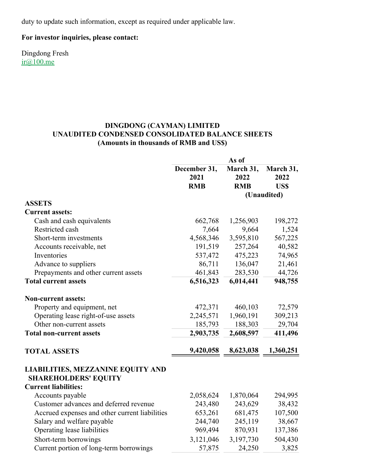duty to update such information, except as required under applicable law.

### **For investor inquiries, please contact:**

Dingdong Fresh [ir@100.me](mailto:ir@100.me)

#### **DINGDONG (CAYMAN) LIMITED UNAUDITED CONDENSED CONSOLIDATED BALANCE SHEETS (Amounts in thousands of RMB and US\$)**

|                                                                         | As of        |            |             |  |
|-------------------------------------------------------------------------|--------------|------------|-------------|--|
|                                                                         | December 31, | March 31,  | March 31,   |  |
|                                                                         | 2021         | 2022       | 2022        |  |
|                                                                         | <b>RMB</b>   | <b>RMB</b> | <b>USS</b>  |  |
|                                                                         |              |            | (Unaudited) |  |
| <b>ASSETS</b>                                                           |              |            |             |  |
| <b>Current assets:</b>                                                  |              |            |             |  |
| Cash and cash equivalents                                               | 662,768      | 1,256,903  | 198,272     |  |
| Restricted cash                                                         | 7,664        | 9,664      | 1,524       |  |
| Short-term investments                                                  | 4,568,346    | 3,595,810  | 567,225     |  |
| Accounts receivable, net                                                | 191,519      | 257,264    | 40,582      |  |
| Inventories                                                             | 537,472      | 475,223    | 74,965      |  |
| Advance to suppliers                                                    | 86,711       | 136,047    | 21,461      |  |
| Prepayments and other current assets                                    | 461,843      | 283,530    | 44,726      |  |
| <b>Total current assets</b>                                             | 6,516,323    | 6,014,441  | 948,755     |  |
| <b>Non-current assets:</b>                                              |              |            |             |  |
| Property and equipment, net                                             | 472,371      | 460,103    | 72,579      |  |
| Operating lease right-of-use assets                                     | 2,245,571    | 1,960,191  | 309,213     |  |
| Other non-current assets                                                | 185,793      | 188,303    | 29,704      |  |
| <b>Total non-current assets</b>                                         | 2,903,735    | 2,608,597  | 411,496     |  |
| <b>TOTAL ASSETS</b>                                                     | 9,420,058    | 8,623,038  | 1,360,251   |  |
| <b>LIABILITIES, MEZZANINE EQUITY AND</b><br><b>SHAREHOLDERS' EQUITY</b> |              |            |             |  |
| <b>Current liabilities:</b>                                             |              |            |             |  |
| Accounts payable                                                        | 2,058,624    | 1,870,064  | 294,995     |  |
| Customer advances and deferred revenue                                  | 243,480      | 243,629    | 38,432      |  |
| Accrued expenses and other current liabilities                          | 653,261      | 681,475    | 107,500     |  |
| Salary and welfare payable                                              | 244,740      | 245,119    | 38,667      |  |
| Operating lease liabilities                                             | 969,494      | 870,931    | 137,386     |  |
| Short-term borrowings                                                   | 3,121,046    | 3,197,730  | 504,430     |  |
| Current portion of long-term borrowings                                 | 57,875       | 24,250     | 3,825       |  |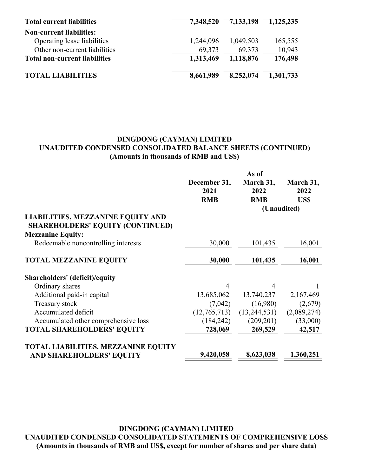| <b>Total current liabilities</b>     | 7,348,520 | 7,133,198 | $\overline{-1,125,235}$ |
|--------------------------------------|-----------|-----------|-------------------------|
| <b>Non-current liabilities:</b>      |           |           |                         |
| Operating lease liabilities          | 1,244,096 | 1,049,503 | 165,555                 |
| Other non-current liabilities        | 69,373    | 69,373    | 10,943                  |
| <b>Total non-current liabilities</b> | 1,313,469 | 1,118,876 | 176,498                 |
| <b>TOTAL LIABILITIES</b>             | 8,661,989 | 8,252,074 | 1,301,733               |

### **DINGDONG (CAYMAN) LIMITED UNAUDITED CONDENSED CONSOLIDATED BALANCE SHEETS (CONTINUED) (Amounts in thousands of RMB and US\$)**

|                                                                                     |                | As of        |             |
|-------------------------------------------------------------------------------------|----------------|--------------|-------------|
|                                                                                     | December 31,   | March 31,    | March 31,   |
|                                                                                     | 2021           | 2022         | 2022        |
|                                                                                     | <b>RMB</b>     | <b>RMB</b>   | <b>USS</b>  |
|                                                                                     |                |              | (Unaudited) |
| <b>LIABILITIES, MEZZANINE EQUITY AND</b><br><b>SHAREHOLDERS' EQUITY (CONTINUED)</b> |                |              |             |
| <b>Mezzanine Equity:</b>                                                            |                |              |             |
| Redeemable noncontrolling interests                                                 | 30,000         | 101,435      | 16,001      |
| <b>TOTAL MEZZANINE EQUITY</b>                                                       | 30,000         | 101,435      | 16,001      |
| Shareholders' (deficit)/equity                                                      |                |              |             |
| Ordinary shares                                                                     | $\overline{4}$ | 4            | 1           |
| Additional paid-in capital                                                          | 13,685,062     | 13,740,237   | 2,167,469   |
| Treasury stock                                                                      | (7,042)        | (16,980)     | (2,679)     |
| Accumulated deficit                                                                 | (12,765,713)   | (13,244,531) | (2,089,274) |
| Accumulated other comprehensive loss                                                | (184, 242)     | (209, 201)   | (33,000)    |
| <b>TOTAL SHAREHOLDERS' EQUITY</b>                                                   | 728,069        | 269,529      | 42,517      |
| <b>TOTAL LIABILITIES, MEZZANINE EQUITY</b>                                          |                |              |             |
| <b>AND SHAREHOLDERS' EQUITY</b>                                                     | 9,420,058      | 8,623,038    | 1,360,251   |

**DINGDONG (CAYMAN) LIMITED UNAUDITED CONDENSED CONSOLIDATED STATEMENTS OF COMPREHENSIVE LOSS (Amounts in thousands of RMB and US\$, except for number of shares and per share data)**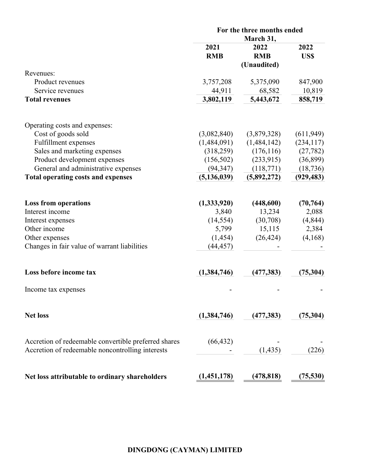|                                                      | For the three months ended |                                 |              |
|------------------------------------------------------|----------------------------|---------------------------------|--------------|
|                                                      | 2021<br><b>RMB</b>         | March 31,<br>2022<br><b>RMB</b> | 2022<br>US\$ |
| Revenues:                                            |                            | (Unaudited)                     |              |
| Product revenues                                     | 3,757,208                  | 5,375,090                       | 847,900      |
| Service revenues                                     | 44,911                     | 68,582                          | 10,819       |
| <b>Total revenues</b>                                | 3,802,119                  | 5,443,672                       | 858,719      |
| Operating costs and expenses:                        |                            |                                 |              |
| Cost of goods sold                                   | (3,082,840)                | (3,879,328)                     | (611, 949)   |
| Fulfillment expenses                                 | (1,484,091)                | (1,484,142)                     | (234, 117)   |
| Sales and marketing expenses                         | (318,259)                  | (176, 116)                      | (27, 782)    |
| Product development expenses                         | (156, 502)                 | (233, 915)                      | (36,899)     |
| General and administrative expenses                  | (94, 347)                  | (118,771)                       | (18, 736)    |
| <b>Total operating costs and expenses</b>            | (5, 136, 039)              | (5,892,272)                     | (929, 483)   |
| <b>Loss from operations</b>                          | (1,333,920)                | (448,600)                       | (70, 764)    |
| Interest income                                      | 3,840                      | 13,234                          | 2,088        |
| Interest expenses                                    | (14, 554)                  | (30,708)                        | (4, 844)     |
| Other income                                         | 5,799                      | 15,115                          | 2,384        |
| Other expenses                                       | (1, 454)                   | (26, 424)                       | (4,168)      |
| Changes in fair value of warrant liabilities         | (44, 457)                  |                                 |              |
| Loss before income tax                               | (1,384,746)                | (477, 383)                      | (75, 304)    |
| Income tax expenses                                  |                            |                                 |              |
| <b>Net loss</b>                                      | (1,384,746)                | (477, 383)                      | (75, 304)    |
|                                                      |                            |                                 |              |
| Accretion of redeemable convertible preferred shares | (66, 432)                  |                                 |              |
| Accretion of redeemable noncontrolling interests     |                            | (1, 435)                        | (226)        |
| Net loss attributable to ordinary shareholders       | (1,451,178)                | (478, 818)                      | (75,530)     |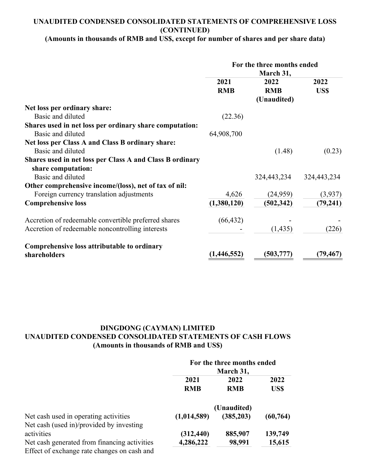### **UNAUDITED CONDENSED CONSOLIDATED STATEMENTS OF COMPREHENSIVE LOSS (CONTINUED)**

# **(Amounts in thousands of RMB and US\$, except for number of shares and per share data)**

|                                                          | For the three months ended<br>March 31, |             |             |
|----------------------------------------------------------|-----------------------------------------|-------------|-------------|
|                                                          | 2021                                    | 2022        | 2022        |
|                                                          | <b>RMB</b>                              | <b>RMB</b>  | US\$        |
|                                                          |                                         | (Unaudited) |             |
| Net loss per ordinary share:                             |                                         |             |             |
| Basic and diluted                                        | (22.36)                                 |             |             |
| Shares used in net loss per ordinary share computation:  |                                         |             |             |
| Basic and diluted                                        | 64,908,700                              |             |             |
| Net loss per Class A and Class B ordinary share:         |                                         |             |             |
| Basic and diluted                                        |                                         | (1.48)      | (0.23)      |
| Shares used in net loss per Class A and Class B ordinary |                                         |             |             |
| share computation:                                       |                                         |             |             |
| Basic and diluted                                        |                                         | 324,443,234 | 324,443,234 |
| Other comprehensive income/(loss), net of tax of nil:    |                                         |             |             |
| Foreign currency translation adjustments                 | 4,626                                   | (24,959)    | (3,937)     |
| <b>Comprehensive loss</b>                                | (1,380,120)                             | (502, 342)  | (79, 241)   |
| Accretion of redeemable convertible preferred shares     | (66, 432)                               |             |             |
| Accretion of redeemable noncontrolling interests         |                                         | (1, 435)    | (226)       |
| Comprehensive loss attributable to ordinary              |                                         |             |             |
| shareholders                                             | (1,446,552)                             | (503, 777)  | (79, 467)   |

# **DINGDONG (CAYMAN) LIMITED UNAUDITED CONDENSED CONSOLIDATED STATEMENTS OF CASH FLOWS (Amounts in thousands of RMB and US\$)**

|                                              | For the three months ended<br>March 31, |            |           |
|----------------------------------------------|-----------------------------------------|------------|-----------|
|                                              |                                         |            |           |
|                                              | 2021                                    | 2022       | 2022      |
|                                              | <b>RMB</b>                              | <b>RMB</b> | US\$      |
|                                              | (Unaudited)                             |            |           |
| Net cash used in operating activities        | (1,014,589)                             | (385, 203) | (60, 764) |
| Net cash (used in)/provided by investing     |                                         |            |           |
| activities                                   | (312, 440)                              | 885,907    | 139,749   |
| Net cash generated from financing activities | 4,286,222                               | 98,991     | 15,615    |
| Effect of exchange rate changes on cash and  |                                         |            |           |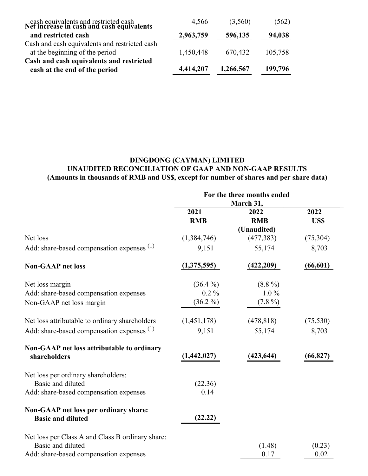| cash equivalents and restricted cash<br>Net increase in cash and cash equivalents | 4,566     | (3,560)   | (562)   |
|-----------------------------------------------------------------------------------|-----------|-----------|---------|
| and restricted cash                                                               | 2,963,759 | 596,135   | 94,038  |
| Cash and cash equivalents and restricted cash<br>at the beginning of the period   | 1,450,448 | 670,432   | 105,758 |
| Cash and cash equivalents and restricted<br>cash at the end of the period         | 4,414,207 | 1,266,567 | 199,796 |

# **DINGDONG (CAYMAN) LIMITED UNAUDITED RECONCILIATION OF GAAP AND NON-GAAP RESULTS (Amounts in thousands of RMB and US\$, except for number of shares and per share data)**

|                                                            |             | For the three months ended |           |
|------------------------------------------------------------|-------------|----------------------------|-----------|
|                                                            | March 31,   |                            |           |
|                                                            | 2021        | 2022                       | 2022      |
|                                                            | <b>RMB</b>  | <b>RMB</b>                 | US\$      |
|                                                            |             | (Unaudited)                |           |
| Net loss                                                   | (1,384,746) | (477, 383)                 | (75,304)  |
| Add: share-based compensation expenses (1)                 | 9,151       | 55,174                     | 8,703     |
| <b>Non-GAAP</b> net loss                                   | (1,375,595) | (422, 209)                 | (66, 601) |
| Net loss margin                                            | $(36.4\%)$  | $(8.8\%)$                  |           |
| Add: share-based compensation expenses                     | $0.2\%$     | $1.0\%$                    |           |
| Non-GAAP net loss margin                                   | $(36.2\%)$  | $(7.8\%)$                  |           |
| Net loss attributable to ordinary shareholders             | (1,451,178) | (478, 818)                 | (75, 530) |
| Add: share-based compensation expenses $(1)$               | 9,151       | 55,174                     | 8,703     |
| Non-GAAP net loss attributable to ordinary<br>shareholders | (1,442,027) | (423, 644)                 | (66, 827) |
|                                                            |             |                            |           |
| Net loss per ordinary shareholders:                        |             |                            |           |
| Basic and diluted                                          | (22.36)     |                            |           |
| Add: share-based compensation expenses                     | 0.14        |                            |           |
| Non-GAAP net loss per ordinary share:                      |             |                            |           |
| <b>Basic and diluted</b>                                   | (22.22)     |                            |           |
| Net loss per Class A and Class B ordinary share:           |             |                            |           |
| Basic and diluted                                          |             | (1.48)                     | (0.23)    |
| Add: share-based compensation expenses                     |             | 0.17                       | 0.02      |